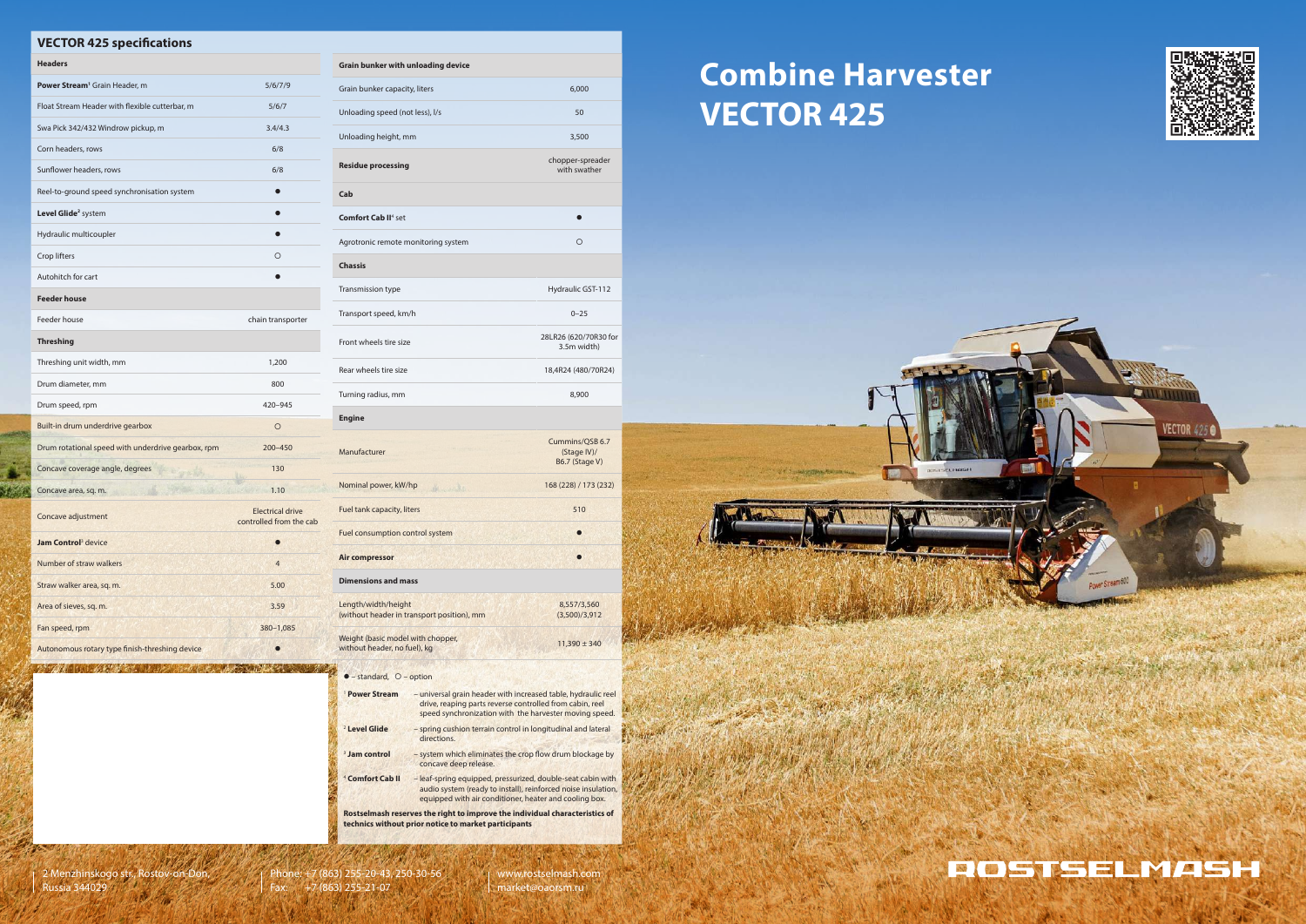# **Combine Harvester VECTOR 425**

### **VECTOR 425 specifications**

| <b>Headers</b>                                     |                                                    |
|----------------------------------------------------|----------------------------------------------------|
| Power Stream <sup>1</sup> Grain Header, m          | 5/6/7/9                                            |
| Float Stream Header with flexible cutterbar, m     | 5/6/7                                              |
| Swa Pick 342/432 Windrow pickup, m                 | 3.4/4.3                                            |
| Corn headers, rows                                 | 6/8                                                |
| Sunflower headers, rows                            | 6/8                                                |
| Reel-to-ground speed synchronisation system        |                                                    |
| Level Glide <sup>2</sup> system                    |                                                    |
| Hydraulic multicoupler                             |                                                    |
| Crop lifters                                       | O                                                  |
| Autohitch for cart                                 |                                                    |
| <b>Feeder house</b>                                |                                                    |
| Feeder house                                       | chain transporter                                  |
| <b>Threshing</b>                                   |                                                    |
| Threshing unit width, mm                           | 1,200                                              |
| Drum diameter, mm                                  | 800                                                |
| Drum speed, rpm                                    | 420-945                                            |
| Built-in drum underdrive gearbox                   | $\circ$                                            |
| Drum rotational speed with underdrive gearbox, rpm | 200-450                                            |
| Concave coverage angle, degrees                    | 130                                                |
| Concave area, sq. m.                               | 1.10                                               |
| Concave adjustment                                 | <b>Electrical drive</b><br>controlled from the cab |
| <b>Jam Control</b> <sup>3</sup> device             |                                                    |
| Number of straw walkers                            | $\overline{4}$                                     |
| Straw walker area, sq. m.                          | 5.00                                               |
| Area of sieves, sq. m.                             | 3.59                                               |
| Fan speed, rpm                                     | 380-1,085                                          |
| Autonomous rotary type finish-threshing device     | 0                                                  |

**Grain bunker with unloading device**

#### $\bullet$  – standard,  $\circ$  – option

2730

| Grain bunker capacity, liters                                     | 6,000                                            |  |
|-------------------------------------------------------------------|--------------------------------------------------|--|
| Unloading speed (not less), I/s                                   | 50                                               |  |
| Unloading height, mm                                              | 3,500                                            |  |
| <b>Residue processing</b>                                         | chopper-spreader<br>with swather                 |  |
| Cab                                                               |                                                  |  |
| <b>Comfort Cab II<sup>4</sup> set</b>                             |                                                  |  |
| Agrotronic remote monitoring system                               | $\circ$                                          |  |
| <b>Chassis</b>                                                    |                                                  |  |
| <b>Transmission type</b>                                          | Hydraulic GST-112                                |  |
| Transport speed, km/h                                             | $0 - 25$                                         |  |
| Front wheels tire size                                            | 28LR26 (620/70R30 for<br>3.5m width)             |  |
| Rear wheels tire size                                             | 18,4R24 (480/70R24)                              |  |
| Turning radius, mm                                                | 8,900                                            |  |
| <b>Engine</b>                                                     |                                                  |  |
| Manufacturer                                                      | Cummins/QSB 6.7<br>(Stage IV)/<br>B6.7 (Stage V) |  |
| Nominal power, kW/hp<br>all marche                                | 168 (228) / 173 (232)                            |  |
| Fuel tank capacity, liters                                        | 510                                              |  |
| Fuel consumption control system                                   |                                                  |  |
| <b>Air compressor</b>                                             |                                                  |  |
| <b>Dimensions and mass</b>                                        |                                                  |  |
| Length/width/height<br>(without header in transport position), mm | 8,557/3,560<br>(3,500)/3,912                     |  |
| Weight (basic model with chopper,<br>without header, no fuel), kg | $11,390 \pm 340$                                 |  |

| <sup>1</sup> Power Stream   | - universal grain header with increased table, hydraulic reel<br>drive, reaping parts reverse controlled from cabin, reel<br>speed synchronization with the harvester moving speed.    |
|-----------------------------|----------------------------------------------------------------------------------------------------------------------------------------------------------------------------------------|
| <sup>2</sup> Level Glide    | - spring cushion terrain control in longitudinal and lateral<br>directions.                                                                                                            |
| <sup>3</sup> Jam control    | - system which eliminates the crop flow drum blockage by<br>concave deep release.                                                                                                      |
| <sup>4</sup> Comfort Cab II | - leaf-spring equipped, pressurized, double-seat cabin with<br>audio system (ready to install), reinforced noise insulation,<br>equipped with air conditioner, heater and cooling box. |
|                             | Rostselmash reserves the right to improve the individual characteristics of<br>technics without prior notice to market participants                                                    |



www.rostselmash.com market@oaorsm.ru



**CONDICIO** 



**ECTOR 425** 



Phone: +7 (863) 255-20-43, 250-30-56 Fax: +7 (863) 255-21-07